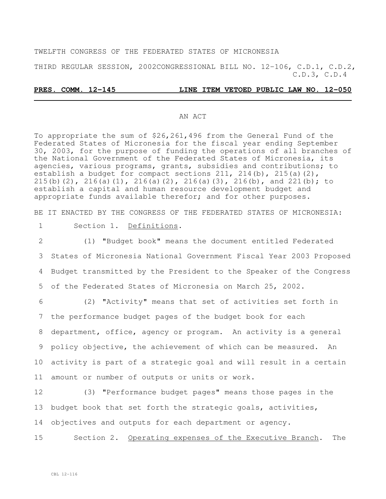TWELFTH CONGRESS OF THE FEDERATED STATES OF MICRONESIA

THIRD REGULAR SESSION, 2002CONGRESSIONAL BILL NO. 12-106, C.D.1, C.D.2, C.D.3, C.D.4

#### **PRES. COMM. 12-145 LINE ITEM VETOED PUBLIC LAW NO. 12-050**

#### AN ACT

To appropriate the sum of \$26,261,496 from the General Fund of the Federated States of Micronesia for the fiscal year ending September 30, 2003, for the purpose of funding the operations of all branches of the National Government of the Federated States of Micronesia, its agencies, various programs, grants, subsidies and contributions; to establish a budget for compact sections 211, 214(b), 215(a)(2), 215(b)(2), 216(a)(1), 216(a)(2), 216(a)(3), 216(b), and 221(b); to establish a capital and human resource development budget and appropriate funds available therefor; and for other purposes.

BE IT ENACTED BY THE CONGRESS OF THE FEDERATED STATES OF MICRONESIA:

#### 1 Section 1. Definitions.

 (1) "Budget book" means the document entitled Federated States of Micronesia National Government Fiscal Year 2003 Proposed Budget transmitted by the President to the Speaker of the Congress of the Federated States of Micronesia on March 25, 2002.

 (2) "Activity" means that set of activities set forth in the performance budget pages of the budget book for each department, office, agency or program. An activity is a general policy objective, the achievement of which can be measured. An activity is part of a strategic goal and will result in a certain amount or number of outputs or units or work.

12 (3) "Performance budget pages" means those pages in the 13 budget book that set forth the strategic goals, activities, 14 objectives and outputs for each department or agency.

15 Section 2. Operating expenses of the Executive Branch. The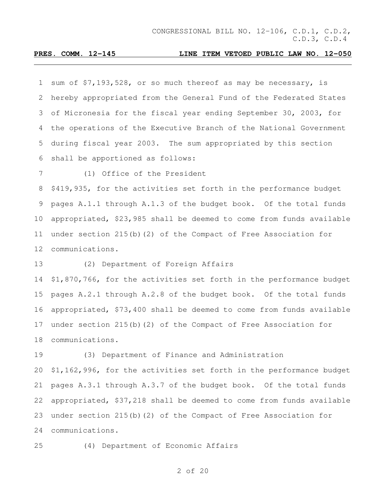sum of \$7,193,528, or so much thereof as may be necessary, is hereby appropriated from the General Fund of the Federated States of Micronesia for the fiscal year ending September 30, 2003, for the operations of the Executive Branch of the National Government during fiscal year 2003. The sum appropriated by this section shall be apportioned as follows:

(1) Office of the President

 \$419,935, for the activities set forth in the performance budget pages A.1.1 through A.1.3 of the budget book. Of the total funds appropriated, \$23,985 shall be deemed to come from funds available under section 215(b)(2) of the Compact of Free Association for communications.

(2) Department of Foreign Affairs

 \$1,870,766, for the activities set forth in the performance budget pages A.2.1 through A.2.8 of the budget book. Of the total funds appropriated, \$73,400 shall be deemed to come from funds available under section 215(b)(2) of the Compact of Free Association for communications.

 (3) Department of Finance and Administration \$1,162,996, for the activities set forth in the performance budget pages A.3.1 through A.3.7 of the budget book. Of the total funds appropriated, \$37,218 shall be deemed to come from funds available under section 215(b)(2) of the Compact of Free Association for communications.

(4) Department of Economic Affairs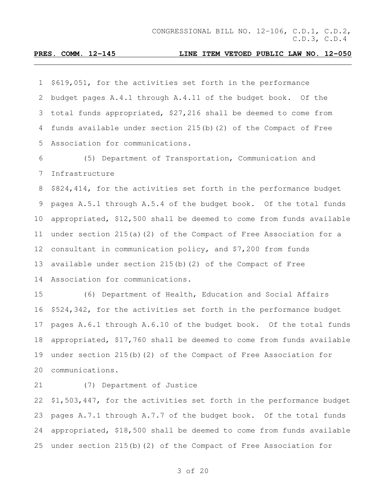\$619,051, for the activities set forth in the performance budget pages A.4.1 through A.4.11 of the budget book. Of the total funds appropriated, \$27,216 shall be deemed to come from funds available under section 215(b)(2) of the Compact of Free Association for communications.

 (5) Department of Transportation, Communication and Infrastructure

 \$824,414, for the activities set forth in the performance budget pages A.5.1 through A.5.4 of the budget book. Of the total funds appropriated, \$12,500 shall be deemed to come from funds available under section 215(a)(2) of the Compact of Free Association for a consultant in communication policy, and \$7,200 from funds available under section 215(b)(2) of the Compact of Free Association for communications.

 (6) Department of Health, Education and Social Affairs \$524,342, for the activities set forth in the performance budget pages A.6.1 through A.6.10 of the budget book. Of the total funds appropriated, \$17,760 shall be deemed to come from funds available under section 215(b)(2) of the Compact of Free Association for communications.

(7) Department of Justice

 \$1,503,447, for the activities set forth in the performance budget pages A.7.1 through A.7.7 of the budget book. Of the total funds appropriated, \$18,500 shall be deemed to come from funds available under section 215(b)(2) of the Compact of Free Association for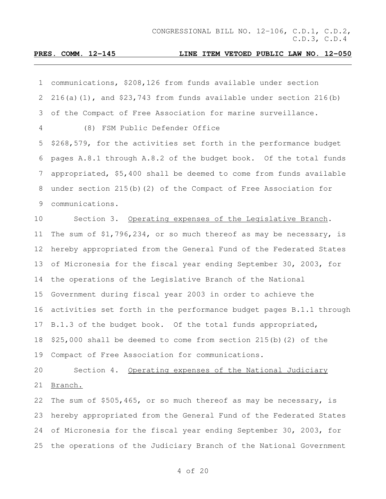| 1  | communications, \$208,126 from funds available under section         |
|----|----------------------------------------------------------------------|
| 2  | $216(a)(1)$ , and \$23,743 from funds available under section 216(b) |
| 3  | of the Compact of Free Association for marine surveillance.          |
| 4  | (8) FSM Public Defender Office                                       |
| 5  | \$268,579, for the activities set forth in the performance budget    |
| 6  | pages A.8.1 through A.8.2 of the budget book. Of the total funds     |
| 7  | appropriated, \$5,400 shall be deemed to come from funds available   |
| 8  | under section 215(b)(2) of the Compact of Free Association for       |
| 9  | communications.                                                      |
| 10 | Section 3. Operating expenses of the Legislative Branch.             |
| 11 | The sum of $$1,796,234$ , or so much thereof as may be necessary, is |
| 12 | hereby appropriated from the General Fund of the Federated States    |
| 13 | of Micronesia for the fiscal year ending September 30, 2003, for     |
| 14 | the operations of the Legislative Branch of the National             |
| 15 | Government during fiscal year 2003 in order to achieve the           |
| 16 | activities set forth in the performance budget pages B.1.1 through   |
| 17 | B.1.3 of the budget book. Of the total funds appropriated,           |
| 18 | \$25,000 shall be deemed to come from section 215(b) (2) of the      |
|    | 19 Compact of Free Association for communications.                   |
| 20 | Section 4. Operating expenses of the National Judiciary              |
| 21 | Branch.                                                              |
| 22 | The sum of \$505,465, or so much thereof as may be necessary, is     |
| 23 | hereby appropriated from the General Fund of the Federated States    |
| 24 | of Micronesia for the fiscal year ending September 30, 2003, for     |
| 25 | the operations of the Judiciary Branch of the National Government    |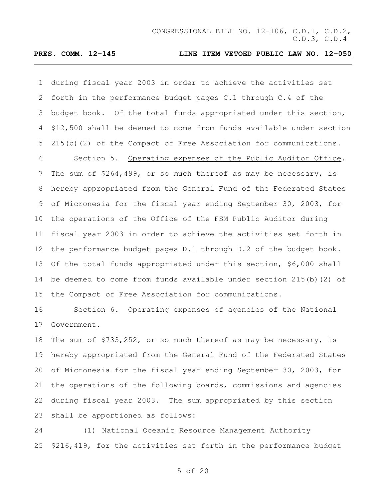during fiscal year 2003 in order to achieve the activities set forth in the performance budget pages C.1 through C.4 of the budget book. Of the total funds appropriated under this section, \$12,500 shall be deemed to come from funds available under section 215(b)(2) of the Compact of Free Association for communications. Section 5. Operating expenses of the Public Auditor Office. The sum of \$264,499, or so much thereof as may be necessary, is hereby appropriated from the General Fund of the Federated States of Micronesia for the fiscal year ending September 30, 2003, for the operations of the Office of the FSM Public Auditor during fiscal year 2003 in order to achieve the activities set forth in the performance budget pages D.1 through D.2 of the budget book. Of the total funds appropriated under this section, \$6,000 shall be deemed to come from funds available under section 215(b)(2) of the Compact of Free Association for communications.

# Section 6. Operating expenses of agencies of the National Government.

 The sum of \$733,252, or so much thereof as may be necessary, is hereby appropriated from the General Fund of the Federated States of Micronesia for the fiscal year ending September 30, 2003, for the operations of the following boards, commissions and agencies during fiscal year 2003. The sum appropriated by this section shall be apportioned as follows:

 (1) National Oceanic Resource Management Authority \$216,419, for the activities set forth in the performance budget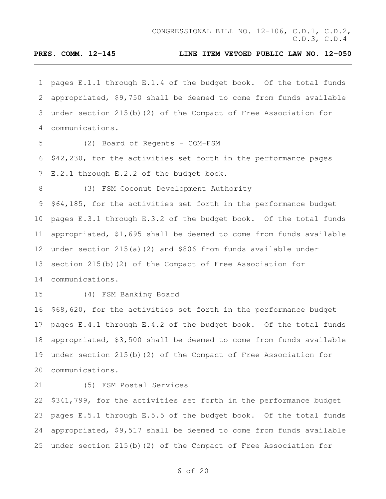pages E.1.1 through E.1.4 of the budget book. Of the total funds appropriated, \$9,750 shall be deemed to come from funds available under section 215(b)(2) of the Compact of Free Association for communications. (2) Board of Regents - COM-FSM \$42,230, for the activities set forth in the performance pages E.2.1 through E.2.2 of the budget book. (3) FSM Coconut Development Authority \$64,185, for the activities set forth in the performance budget pages E.3.1 through E.3.2 of the budget book. Of the total funds appropriated, \$1,695 shall be deemed to come from funds available under section 215(a)(2) and \$806 from funds available under section 215(b)(2) of the Compact of Free Association for communications. (4) FSM Banking Board \$68,620, for the activities set forth in the performance budget pages E.4.1 through E.4.2 of the budget book. Of the total funds appropriated, \$3,500 shall be deemed to come from funds available under section 215(b)(2) of the Compact of Free Association for communications. (5) FSM Postal Services \$341,799, for the activities set forth in the performance budget pages E.5.1 through E.5.5 of the budget book. Of the total funds appropriated, \$9,517 shall be deemed to come from funds available

under section 215(b)(2) of the Compact of Free Association for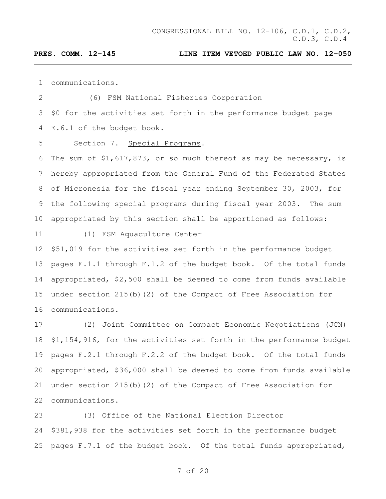communications.

 (6) FSM National Fisheries Corporation \$0 for the activities set forth in the performance budget page E.6.1 of the budget book.

Section 7. Special Programs.

 The sum of \$1,617,873, or so much thereof as may be necessary, is hereby appropriated from the General Fund of the Federated States of Micronesia for the fiscal year ending September 30, 2003, for the following special programs during fiscal year 2003. The sum appropriated by this section shall be apportioned as follows:

(1) FSM Aquaculture Center

 \$51,019 for the activities set forth in the performance budget pages F.1.1 through F.1.2 of the budget book. Of the total funds appropriated, \$2,500 shall be deemed to come from funds available under section 215(b)(2) of the Compact of Free Association for communications.

 (2) Joint Committee on Compact Economic Negotiations (JCN) \$1,154,916, for the activities set forth in the performance budget pages F.2.1 through F.2.2 of the budget book. Of the total funds appropriated, \$36,000 shall be deemed to come from funds available under section 215(b)(2) of the Compact of Free Association for communications.

 (3) Office of the National Election Director \$381,938 for the activities set forth in the performance budget pages F.7.1 of the budget book. Of the total funds appropriated,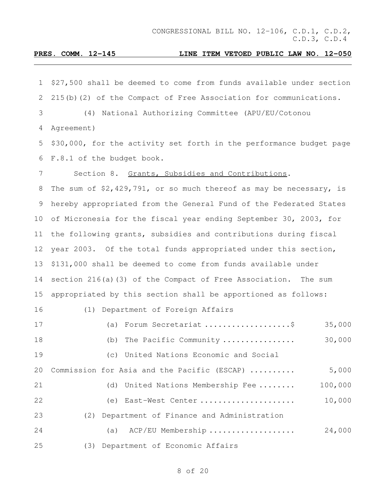| $\mathbf 1$     | \$27,500 shall be deemed to come from funds available under section  |
|-----------------|----------------------------------------------------------------------|
| 2               | 215(b)(2) of the Compact of Free Association for communications.     |
| 3               | (4) National Authorizing Committee (APU/EU/Cotonou                   |
| 4               | Agreement)                                                           |
| 5               | \$30,000, for the activity set forth in the performance budget page  |
| 6               | F.8.1 of the budget book.                                            |
| 7               | Section 8. Grants, Subsidies and Contributions.                      |
| 8               | The sum of $$2,429,791$ , or so much thereof as may be necessary, is |
| 9               | hereby appropriated from the General Fund of the Federated States    |
| 10 <sub>o</sub> | of Micronesia for the fiscal year ending September 30, 2003, for     |
| 11              | the following grants, subsidies and contributions during fiscal      |
| 12              | year 2003. Of the total funds appropriated under this section,       |
| 13              | \$131,000 shall be deemed to come from funds available under         |
| 14              | section 216(a) (3) of the Compact of Free Association. The sum       |
| 15              | appropriated by this section shall be apportioned as follows:        |
| 16              | (1) Department of Foreign Affairs                                    |
| 17              | (a) Forum Secretariat \$<br>35,000                                   |
| 18              | 30,000<br>(b) The Pacific Community                                  |
| 19              | United Nations Economic and Social<br>(C)                            |
| 20              | 5,000<br>Commission for Asia and the Pacific (ESCAP)                 |
| 21              | 100,000<br>United Nations Membership Fee<br>(d)                      |
| 22              | 10,000<br>East-West Center<br>(e)                                    |
| 23              | Department of Finance and Administration<br>(2)                      |
| 24              | 24,000<br>ACP/EU Membership<br>(a)                                   |
| 25              | (3) Department of Economic Affairs                                   |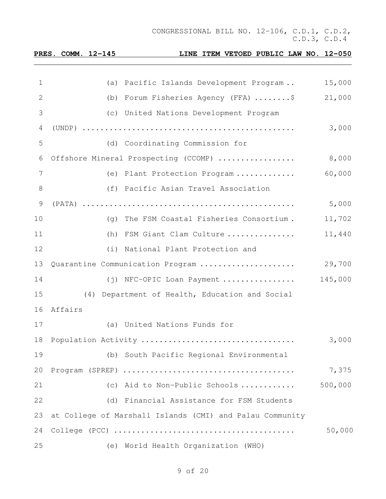**PRES. COMM. 12-145 LINE ITEM VETOED PUBLIC LAW NO. 12-050** (a) Pacific Islands Development Program .. 15,000 (b) Forum Fisheries Agency (FFA) ........\$ 21,000 (c) United Nations Development Program (UNDP) ............................................... 3,000 (d) Coordinating Commission for Offshore Mineral Prospecting (CCOMP) ................. 8,000 (e) Plant Protection Program ............. 60,000 (f) Pacific Asian Travel Association (PATA) ............................................... 5,000 (g) The FSM Coastal Fisheries Consortium . 11,702 (h) FSM Giant Clam Culture ............... 11,440 (i) National Plant Protection and Quarantine Communication Program ..................... 29,700 (j) NFC-OPIC Loan Payment ................ 145,000 (4) Department of Health, Education and Social Affairs (a) United Nations Funds for Population Activity .................................. 3,000 (b) South Pacific Regional Environmental Program (SPREP) ...................................... 7,375 (c) Aid to Non-Public Schools ............ 500,000 (d) Financial Assistance for FSM Students at College of Marshall Islands (CMI) and Palau Community College (PCC) ........................................ 50,000 (e) World Health Organization (WHO)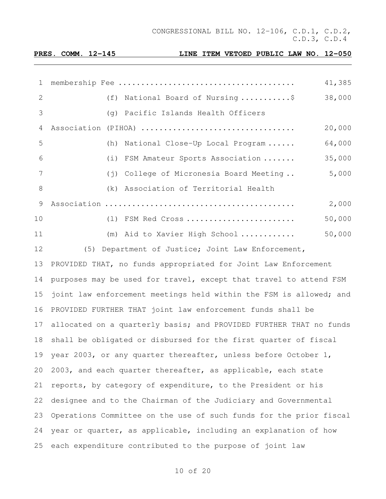| $\mathbf{1}$ |     |                                                                | 41,385 |
|--------------|-----|----------------------------------------------------------------|--------|
| 2            |     | (f) National Board of Nursing \$                               | 38,000 |
| 3            |     | (q) Pacific Islands Health Officers                            |        |
| 4            |     | Association (PIHOA)                                            | 20,000 |
| 5            |     | (h) National Close-Up Local Program                            | 64,000 |
| 6            |     | (i) FSM Amateur Sports Association                             | 35,000 |
| 7            |     | (j) College of Micronesia Board Meeting                        | 5,000  |
| 8            |     | (k) Association of Territorial Health                          |        |
| 9            |     |                                                                | 2,000  |
| 10           |     | (1) FSM Red Cross                                              | 50,000 |
| 11           |     | (m) Aid to Xavier High School                                  | 50,000 |
| 12           | (5) | Department of Justice; Joint Law Enforcement,                  |        |
| 13           |     | PROVIDED THAT, no funds appropriated for Joint Law Enforcement |        |

 purposes may be used for travel, except that travel to attend FSM joint law enforcement meetings held within the FSM is allowed; and PROVIDED FURTHER THAT joint law enforcement funds shall be 17 allocated on a quarterly basis; and PROVIDED FURTHER THAT no funds shall be obligated or disbursed for the first quarter of fiscal year 2003, or any quarter thereafter, unless before October 1, 2003, and each quarter thereafter, as applicable, each state reports, by category of expenditure, to the President or his designee and to the Chairman of the Judiciary and Governmental Operations Committee on the use of such funds for the prior fiscal year or quarter, as applicable, including an explanation of how each expenditure contributed to the purpose of joint law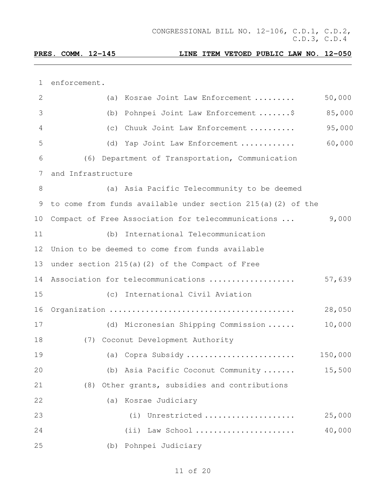enforcement.

| $\mathbf{2}$    | (a) Kosrae Joint Law Enforcement                            | 50,000  |
|-----------------|-------------------------------------------------------------|---------|
| 3               | Pohnpei Joint Law Enforcement \$<br>(b)                     | 85,000  |
| 4               | (c) Chuuk Joint Law Enforcement                             | 95,000  |
| 5               | (d) Yap Joint Law Enforcement                               | 60,000  |
| 6               | (6) Department of Transportation, Communication             |         |
| $7\phantom{.0}$ | and Infrastructure                                          |         |
| $8\,$           | (a) Asia Pacific Telecommunity to be deemed                 |         |
| 9               | to come from funds available under section 215(a)(2) of the |         |
| 10              | Compact of Free Association for telecommunications          | 9,000   |
| 11              | International Telecommunication<br>(b)                      |         |
| 12              | Union to be deemed to come from funds available             |         |
| 13              | under section 215(a)(2) of the Compact of Free              |         |
| 14              | Association for telecommunications                          | 57,639  |
| 15              | (c) International Civil Aviation                            |         |
| 16              |                                                             | 28,050  |
| 17              | (d) Micronesian Shipping Commission                         | 10,000  |
| 18              | (7) Coconut Development Authority                           |         |
| 19              | (a) Copra Subsidy                                           | 150,000 |
| 20              | (b) Asia Pacific Coconut Community                          | 15,500  |
| 21              | Other grants, subsidies and contributions<br>(8)            |         |
| 22              | (a) Kosrae Judiciary                                        |         |
| 23              | Unrestricted<br>(i)                                         | 25,000  |
| 24              | (ii) Law School                                             | 40,000  |
| 25              | Pohnpei Judiciary<br>(b)                                    |         |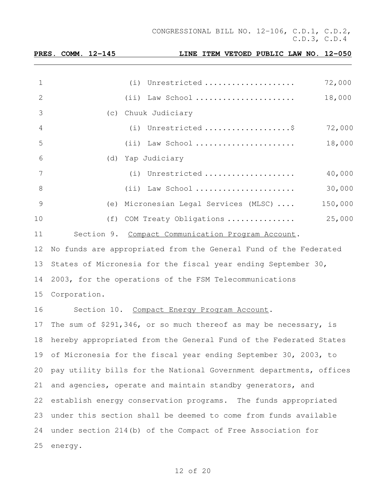|               | <u>PRES. COMM. 12-145</u> | LINE ITEM VETOED PUBLIC LAW NO. 12-050                             |         |
|---------------|---------------------------|--------------------------------------------------------------------|---------|
|               |                           |                                                                    |         |
| $\mathbf 1$   |                           | (i) Unrestricted                                                   | 72,000  |
| $\mathbf{2}$  |                           | $(i)$ Law School                                                   | 18,000  |
| 3             |                           | (c) Chuuk Judiciary                                                |         |
| 4             |                           | (i) Unrestricted \$                                                | 72,000  |
| 5             |                           | $(i)$ Law School                                                   | 18,000  |
| 6             |                           | (d) Yap Judiciary                                                  |         |
| 7             |                           | (i) Unrestricted                                                   | 40,000  |
| $\,8\,$       |                           | (ii) Law School                                                    | 30,000  |
| $\mathcal{G}$ |                           | (e) Micronesian Legal Services (MLSC)                              | 150,000 |
| 10            |                           | (f) COM Treaty Obligations                                         | 25,000  |
| 11            |                           | Section 9. Compact Communication Program Account.                  |         |
| 12            |                           | No funds are appropriated from the General Fund of the Federated   |         |
| 13            |                           | States of Micronesia for the fiscal year ending September 30,      |         |
| 14            |                           | 2003, for the operations of the FSM Telecommunications             |         |
| 15            | Corporation.              |                                                                    |         |
| 16            |                           | Section 10. Compact Energy Program Account.                        |         |
| 17            |                           | The sum of \$291,346, or so much thereof as may be necessary, is   |         |
| 18            |                           | hereby appropriated from the General Fund of the Federated States  |         |
| 19            |                           | of Micronesia for the fiscal year ending September 30, 2003, to    |         |
| 20            |                           | pay utility bills for the National Government departments, offices |         |
| 21            |                           | and agencies, operate and maintain standby generators, and         |         |
| 22            |                           | establish energy conservation programs. The funds appropriated     |         |
| 23            |                           | under this section shall be deemed to come from funds available    |         |
| 24            |                           | under section 214(b) of the Compact of Free Association for        |         |
| 25            | energy.                   |                                                                    |         |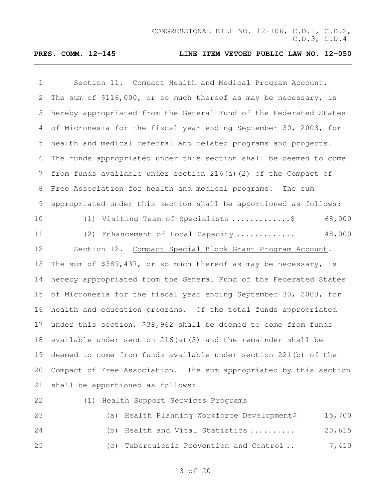### **PRES. COMM. 12-145 LINE ITEM VETOED PUBLIC LAW NO. 12-050**

| 1             | Section 11. Compact Health and Medical Program Account.            |
|---------------|--------------------------------------------------------------------|
| 2             | The sum of \$116,000, or so much thereof as may be necessary, is   |
| 3             | hereby appropriated from the General Fund of the Federated States  |
| 4             | of Micronesia for the fiscal year ending September 30, 2003, for   |
| 5             | health and medical referral and related programs and projects.     |
| 6             | The funds appropriated under this section shall be deemed to come  |
| 7             | from funds available under section 216(a)(2) of the Compact of     |
| 8             | Free Association for health and medical programs. The sum          |
| $\mathcal{G}$ | appropriated under this section shall be apportioned as follows:   |
| 10            | Visiting Team of Specialists \$<br>68,000<br>(1)                   |
| 11            | 48,000<br>(2)<br>Enhancement of Local Capacity                     |
| 12            | Section 12.<br>Compact Special Block Grant Program Account.        |
| 13            | The sum of \$389,437, or so much thereof as may be necessary, is   |
| 14            | hereby appropriated from the General Fund of the Federated States  |
| 15            | of Micronesia for the fiscal year ending September 30, 2003, for   |
| 16            | health and education programs. Of the total funds appropriated     |
| 17            | under this section, \$38,962 shall be deemed to come from funds    |
| 18            | available under section $216(a)$ (3) and the remainder shall be    |
|               | 19 deemed to come from funds available under section 221(b) of the |
| 20            | Compact of Free Association. The sum appropriated by this section  |
| 21            | shall be apportioned as follows:                                   |
| 22            | (1) Health Support Services Programs                               |
|               |                                                                    |

 (a) Health Planning Workforce Development\$ 15,700 24 (b) Health and Vital Statistics .......... 20,615 25 (c) Tuberculosis Prevention and Control . 3,410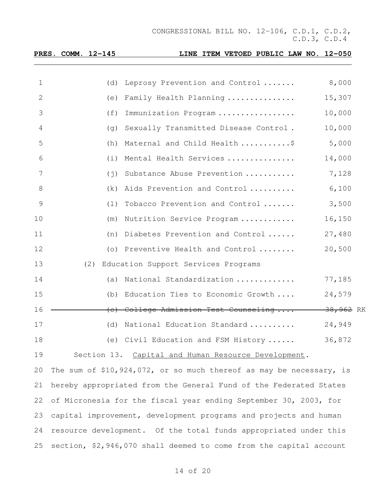|    | PRES. COMM. 12-145 |             | LINE ITEM VETOED PUBLIC LAW NO. 12-050                                |                      |  |
|----|--------------------|-------------|-----------------------------------------------------------------------|----------------------|--|
| 1  |                    | (d)         |                                                                       | 8,000                |  |
|    |                    |             | Leprosy Prevention and Control                                        |                      |  |
| 2  |                    | (e)         | Family Health Planning                                                | 15,307               |  |
| 3  |                    | (f)         | Immunization Program                                                  | 10,000               |  |
| 4  |                    | (q)         | Sexually Transmitted Disease Control.                                 | 10,000               |  |
| 5  |                    | (h)         | Maternal and Child Health \$                                          | 5,000                |  |
| 6  |                    | (i)         | Mental Health Services                                                | 14,000               |  |
| 7  |                    | $(\dagger)$ | Substance Abuse Prevention                                            | 7,128                |  |
| 8  |                    | (k)         | Aids Prevention and Control                                           | 6,100                |  |
| 9  |                    | (1)         | Tobacco Prevention and Control                                        | 3,500                |  |
| 10 |                    | (m)         | Nutrition Service Program                                             | 16,150               |  |
| 11 |                    | (n)         | Diabetes Prevention and Control                                       | 27,480               |  |
| 12 |                    | $( \circ )$ | Preventive Health and Control                                         | 20,500               |  |
| 13 | (2)                |             | Education Support Services Programs                                   |                      |  |
| 14 |                    | (a)         | National Standardization                                              | 77,185               |  |
| 15 |                    | (b)         | Education Ties to Economic Growth                                     | 24,579               |  |
| 16 |                    |             | (e) College Admission Test Counseling                                 | <del>38,962</del> RK |  |
| 17 |                    | (d)         | National Education Standard                                           | 24,949               |  |
| 18 |                    |             | (e) Civil Education and FSM History                                   | 36,872               |  |
| 19 |                    |             | Section 13. Capital and Human Resource Development.                   |                      |  |
| 20 |                    |             | The sum of $$10,924,072$ , or so much thereof as may be necessary, is |                      |  |
| 21 |                    |             | hereby appropriated from the General Fund of the Federated States     |                      |  |
| 22 |                    |             | of Micronesia for the fiscal year ending September 30, 2003, for      |                      |  |
| 23 |                    |             | capital improvement, development programs and projects and human      |                      |  |
| 24 |                    |             | resource development. Of the total funds appropriated under this      |                      |  |

section, \$2,946,070 shall deemed to come from the capital account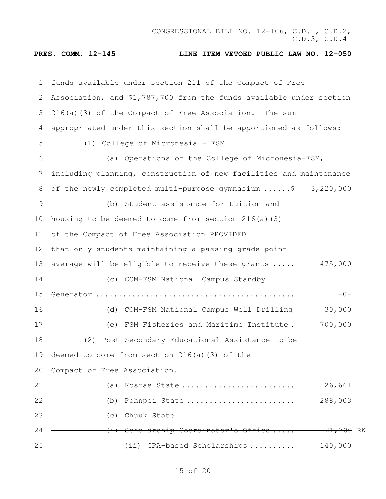| 1             | funds available under section 211 of the Compact of Free            |  |
|---------------|---------------------------------------------------------------------|--|
| 2             | Association, and \$1,787,700 from the funds available under section |  |
| 3             | 216(a)(3) of the Compact of Free Association. The sum               |  |
| 4             | appropriated under this section shall be apportioned as follows:    |  |
| 5             | (1) College of Micronesia - FSM                                     |  |
| 6             | (a) Operations of the College of Micronesia-FSM,                    |  |
| 7             | including planning, construction of new facilities and maintenance  |  |
| 8             | of the newly completed multi-purpose gymnasium \$ 3,220,000         |  |
| $\mathcal{G}$ | (b) Student assistance for tuition and                              |  |
| 10            | housing to be deemed to come from section $216(a)$ (3)              |  |
| 11            | of the Compact of Free Association PROVIDED                         |  |
| 12            | that only students maintaining a passing grade point                |  |
| 13            | 475,000<br>average will be eligible to receive these grants         |  |
| 14            | (c) COM-FSM National Campus Standby                                 |  |
| 15            | $-0-$                                                               |  |
| 16            | 30,000<br>(d) COM-FSM National Campus Well Drilling                 |  |
| 17            | 700,000<br>FSM Fisheries and Maritime Institute.<br>(e)             |  |
| 18            | (2) Post-Secondary Educational Assistance to be                     |  |
|               | 19 deemed to come from section 216(a)(3) of the                     |  |
| 20            | Compact of Free Association.                                        |  |
| 21            | 126,661<br>(a) Kosrae State                                         |  |
| 22            | 288,003<br>(b) Pohnpei State                                        |  |
| 23            | (c) Chuuk State                                                     |  |
| 24            | <del>21,700</del> RK<br>(i) Scholarship Coordinator's Office        |  |
| 25            | 140,000<br>(ii) GPA-based Scholarships                              |  |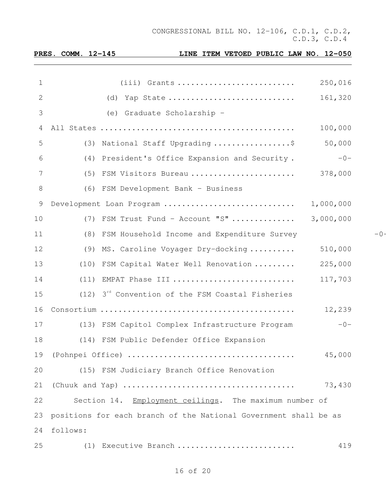| <b>PRES.</b> | COMM. | $12 - 145$ |  |
|--------------|-------|------------|--|
|              |       |            |  |

| 1  | $(iii)$ Grants<br>250,016                                        |       |
|----|------------------------------------------------------------------|-------|
| 2  | 161,320<br>(d) Yap State                                         |       |
| 3  | (e) Graduate Scholarship -                                       |       |
| 4  | 100,000                                                          |       |
| 5  | 50,000<br>(3) National Staff Upgrading \$                        |       |
| 6  | (4) President's Office Expansion and Security.<br>$-0-$          |       |
| 7  | 378,000<br>(5) FSM Visitors Bureau                               |       |
| 8  | (6) FSM Development Bank - Business                              |       |
| 9  | 1,000,000<br>Development Loan Program                            |       |
| 10 | 3,000,000<br>(7) FSM Trust Fund - Account "S"                    |       |
| 11 | (8) FSM Household Income and Expenditure Survey                  | $-0-$ |
| 12 | 510,000<br>(9) MS. Caroline Voyager Dry-docking                  |       |
| 13 | 225,000<br>(10) FSM Capital Water Well Renovation                |       |
| 14 | (11) EMPAT Phase III<br>117,703                                  |       |
| 15 | $(12)$ 3 <sup>rd</sup> Convention of the FSM Coastal Fisheries   |       |
| 16 | 12,239                                                           |       |
| 17 | $-0-$<br>(13) FSM Capitol Complex Infrastructure Program         |       |
| 18 | (14) FSM Public Defender Office Expansion                        |       |
| 19 | 45,000                                                           |       |
| 20 | (15) FSM Judiciary Branch Office Renovation                      |       |
| 21 | 73,430                                                           |       |
| 22 | Section 14. Employment ceilings. The maximum number of           |       |
| 23 | positions for each branch of the National Government shall be as |       |
| 24 | follows:                                                         |       |
| 25 | Executive Branch<br>419<br>(1)                                   |       |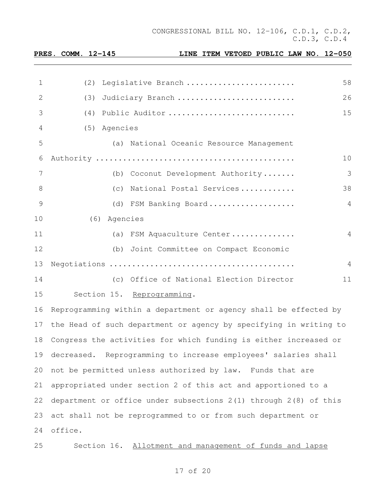|                |         | PRES. COMM. 12-145 | LINE ITEM VETOED PUBLIC LAW NO. 12-050                               |    |
|----------------|---------|--------------------|----------------------------------------------------------------------|----|
|                |         |                    |                                                                      |    |
| 1              |         | (2)                | Legislative Branch                                                   | 58 |
| 2              |         | (3)                | Judiciary Branch                                                     | 26 |
| 3              |         |                    | (4) Public Auditor                                                   | 15 |
| 4              |         | (5) Agencies       |                                                                      |    |
| 5              |         |                    | (a) National Oceanic Resource Management                             |    |
| 6              |         |                    |                                                                      | 10 |
| $7\phantom{.}$ |         |                    | (b) Coconut Development Authority                                    | 3  |
| 8              |         |                    | (c) National Postal Services                                         | 38 |
| 9              |         |                    | (d) FSM Banking Board                                                | 4  |
| 10             |         | (6) Agencies       |                                                                      |    |
| 11             |         |                    | (a) FSM Aquaculture Center                                           | 4  |
| 12             |         |                    | (b) Joint Committee on Compact Economic                              |    |
| 13             |         |                    |                                                                      | 4  |
| 14             |         |                    | (c) Office of National Election Director                             | 11 |
| 15             |         |                    | Section 15. Reprogramming.                                           |    |
| 16             |         |                    | Reprogramming within a department or agency shall be effected by     |    |
|                |         |                    | 17 the Head of such department or agency by specifying in writing to |    |
| 18             |         |                    | Congress the activities for which funding is either increased or     |    |
| 19             |         |                    | decreased. Reprogramming to increase employees' salaries shall       |    |
| 20             |         |                    | not be permitted unless authorized by law. Funds that are            |    |
| 21             |         |                    | appropriated under section 2 of this act and apportioned to a        |    |
| 22             |         |                    | department or office under subsections 2(1) through 2(8) of this     |    |
| 23             |         |                    | act shall not be reprogrammed to or from such department or          |    |
| 24             | office. |                    |                                                                      |    |
| 25             |         |                    | Section 16. Allotment and management of funds and lapse              |    |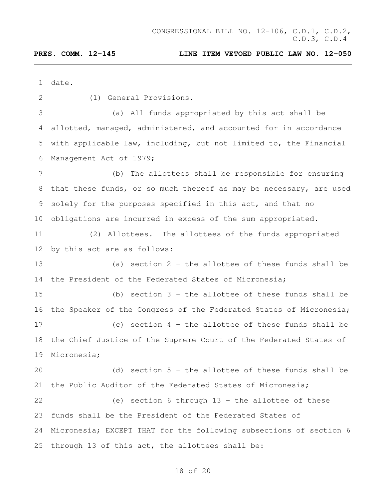| 1               | date.                                                              |
|-----------------|--------------------------------------------------------------------|
| 2               | (1) General Provisions.                                            |
| 3               | All funds appropriated by this act shall be<br>(a)                 |
| 4               | allotted, managed, administered, and accounted for in accordance   |
| 5               | with applicable law, including, but not limited to, the Financial  |
| 6               | Management Act of 1979;                                            |
| 7               | The allottees shall be responsible for ensuring<br>(b)             |
| 8               | that these funds, or so much thereof as may be necessary, are used |
| 9               | solely for the purposes specified in this act, and that no         |
| 10 <sub>o</sub> | obligations are incurred in excess of the sum appropriated.        |
| 11              | Allottees. The allottees of the funds appropriated<br>(2)          |
| 12              | by this act are as follows:                                        |
| 13              | section 2 - the allottee of these funds shall be<br>(a)            |
| 14              | the President of the Federated States of Micronesia;               |
| 15              | section $3$ - the allottee of these funds shall be<br>(b)          |
| 16              | the Speaker of the Congress of the Federated States of Micronesia; |
| 17              | (c) section $4$ - the allottee of these funds shall be             |
| 18              | the Chief Justice of the Supreme Court of the Federated States of  |
|                 | 19 Micronesia;                                                     |
| 20              | (d) section $5$ - the allottee of these funds shall be             |
| 21              | the Public Auditor of the Federated States of Micronesia;          |
| 22              | (e) section 6 through $13$ - the allottee of these                 |
| 23              | funds shall be the President of the Federated States of            |
| 24              | Micronesia; EXCEPT THAT for the following subsections of section 6 |
| 25              | through 13 of this act, the allottees shall be:                    |
|                 |                                                                    |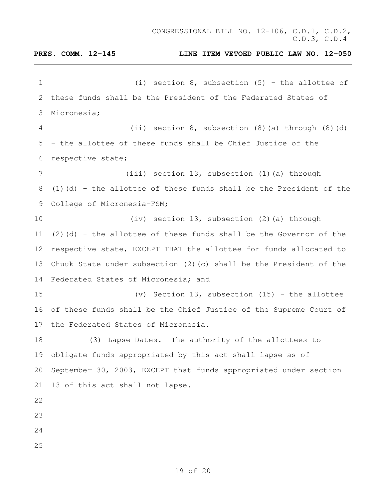# 1 (i) section 8, subsection (5) - the allottee of these funds shall be the President of the Federated States of Micronesia; (ii) section 8, subsection (8)(a) through (8)(d) - the allottee of these funds shall be Chief Justice of the respective state; (iii) section 13, subsection (1)(a) through (1)(d) - the allottee of these funds shall be the President of the College of Micronesia-FSM; (iv) section 13, subsection (2)(a) through 11 (2)(d) - the allottee of these funds shall be the Governor of the respective state, EXCEPT THAT the allottee for funds allocated to Chuuk State under subsection (2)(c) shall be the President of the Federated States of Micronesia; and (v) Section 13, subsection (15) - the allottee of these funds shall be the Chief Justice of the Supreme Court of the Federated States of Micronesia. (3) Lapse Dates. The authority of the allottees to obligate funds appropriated by this act shall lapse as of September 30, 2003, EXCEPT that funds appropriated under section 13 of this act shall not lapse.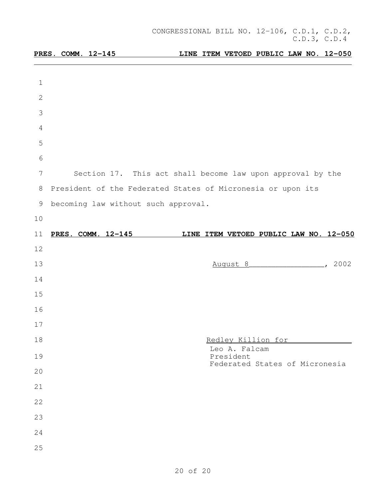|              | PRES. COMM. 12-145                                          |                            |                                | LINE ITEM VETOED PUBLIC LAW NO. 12-050 |
|--------------|-------------------------------------------------------------|----------------------------|--------------------------------|----------------------------------------|
|              |                                                             |                            |                                |                                        |
| $\mathbf 1$  |                                                             |                            |                                |                                        |
| $\mathbf{2}$ |                                                             |                            |                                |                                        |
| 3            |                                                             |                            |                                |                                        |
| 4            |                                                             |                            |                                |                                        |
| 5            |                                                             |                            |                                |                                        |
| 6            |                                                             |                            |                                |                                        |
| 7            | Section 17. This act shall become law upon approval by the  |                            |                                |                                        |
| 8            | President of the Federated States of Micronesia or upon its |                            |                                |                                        |
| 9            | becoming law without such approval.                         |                            |                                |                                        |
| 10           |                                                             |                            |                                |                                        |
| 11           | PRES. COMM. 12-145                                          |                            |                                | LINE ITEM VETOED PUBLIC LAW NO. 12-050 |
| 12           |                                                             |                            |                                |                                        |
| 13           |                                                             | August 8                   |                                | 2002                                   |
| 14           |                                                             |                            |                                |                                        |
| 15           |                                                             |                            |                                |                                        |
| 16           |                                                             |                            |                                |                                        |
| 17           |                                                             |                            |                                |                                        |
| 18           |                                                             |                            | Redley Killion for             |                                        |
| 19           |                                                             | Leo A. Falcam<br>President |                                |                                        |
| 20           |                                                             |                            | Federated States of Micronesia |                                        |
| 21           |                                                             |                            |                                |                                        |
| 22           |                                                             |                            |                                |                                        |
| 23           |                                                             |                            |                                |                                        |
| 24           |                                                             |                            |                                |                                        |
| 25           |                                                             |                            |                                |                                        |